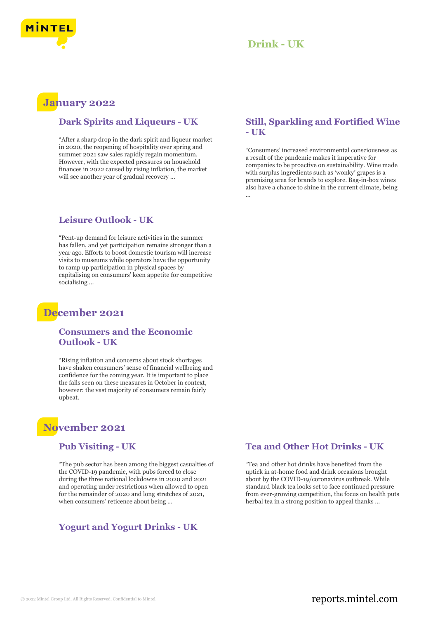

### **January 2022**

### **Dark Spirits and Liqueurs - UK**

"After a sharp drop in the dark spirit and liqueur market in 2020, the reopening of hospitality over spring and summer 2021 saw sales rapidly regain momentum. However, with the expected pressures on household finances in 2022 caused by rising inflation, the market will see another year of gradual recovery ...

#### **Leisure Outlook - UK**

"Pent-up demand for leisure activities in the summer has fallen, and yet participation remains stronger than a year ago. Efforts to boost domestic tourism will increase visits to museums while operators have the opportunity to ramp up participation in physical spaces by capitalising on consumers' keen appetite for competitive socialising ...

### **December 2021**

### **Consumers and the Economic Outlook - UK**

"Rising inflation and concerns about stock shortages have shaken consumers' sense of financial wellbeing and confidence for the coming year. It is important to place the falls seen on these measures in October in context, however: the vast majority of consumers remain fairly upbeat.

# **November 2021**

#### **Pub Visiting - UK**

"The pub sector has been among the biggest casualties of the COVID-19 pandemic, with pubs forced to close during the three national lockdowns in 2020 and 2021 and operating under restrictions when allowed to open for the remainder of 2020 and long stretches of 2021, when consumers' reticence about being ...

### **Yogurt and Yogurt Drinks - UK**

### **Still, Sparkling and Fortified Wine - UK**

"Consumers' increased environmental consciousness as a result of the pandemic makes it imperative for companies to be proactive on sustainability. Wine made with surplus ingredients such as 'wonky' grapes is a promising area for brands to explore. Bag-in-box wines also have a chance to shine in the current climate, being ...

### **Tea and Other Hot Drinks - UK**

"Tea and other hot drinks have benefited from the uptick in at-home food and drink occasions brought about by the COVID-19/coronavirus outbreak. While standard black tea looks set to face continued pressure from ever-growing competition, the focus on health puts herbal tea in a strong position to appeal thanks ...

### © 2022 Mintel Group Ltd. All Rights Reserved. Confidential to Mintel.  $\blacksquare$  reports.mintel.com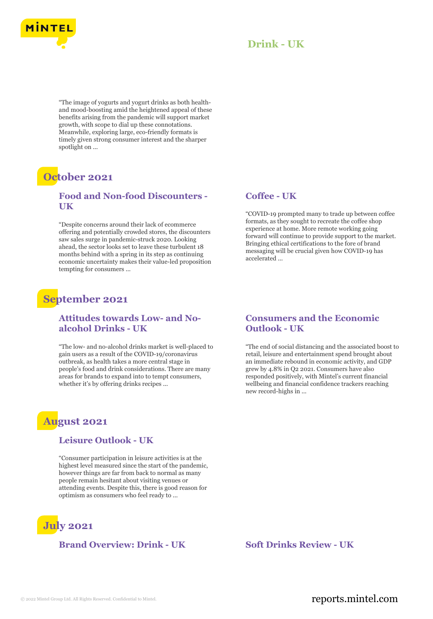

"The image of yogurts and yogurt drinks as both healthand mood-boosting amid the heightened appeal of these benefits arising from the pandemic will support market growth, with scope to dial up these connotations. Meanwhile, exploring large, eco-friendly formats is timely given strong consumer interest and the sharper spotlight on ...

# **October 2021**

### **Food and Non-food Discounters - UK**

"Despite concerns around their lack of ecommerce offering and potentially crowded stores, the discounters saw sales surge in pandemic-struck 2020. Looking ahead, the sector looks set to leave these turbulent 18 months behind with a spring in its step as continuing economic uncertainty makes their value-led proposition tempting for consumers ...

# **September 2021**

### **Attitudes towards Low- and Noalcohol Drinks - UK**

"The low- and no-alcohol drinks market is well-placed to gain users as a result of the COVID-19/coronavirus outbreak, as health takes a more central stage in people's food and drink considerations. There are many areas for brands to expand into to tempt consumers, whether it's by offering drinks recipes ...

# **August 2021**

### **Leisure Outlook - UK**

"Consumer participation in leisure activities is at the highest level measured since the start of the pandemic, however things are far from back to normal as many people remain hesitant about visiting venues or attending events. Despite this, there is good reason for optimism as consumers who feel ready to ...



**Brand Overview: Drink - UK Soft Drinks Review - UK**

#### **Coffee - UK**

"COVID-19 prompted many to trade up between coffee formats, as they sought to recreate the coffee shop experience at home. More remote working going forward will continue to provide support to the market. Bringing ethical certifications to the fore of brand messaging will be crucial given how COVID-19 has accelerated ...

### **Consumers and the Economic Outlook - UK**

"The end of social distancing and the associated boost to retail, leisure and entertainment spend brought about an immediate rebound in economic activity, and GDP grew by 4.8% in Q2 2021. Consumers have also responded positively, with Mintel's current financial wellbeing and financial confidence trackers reaching new record-highs in ...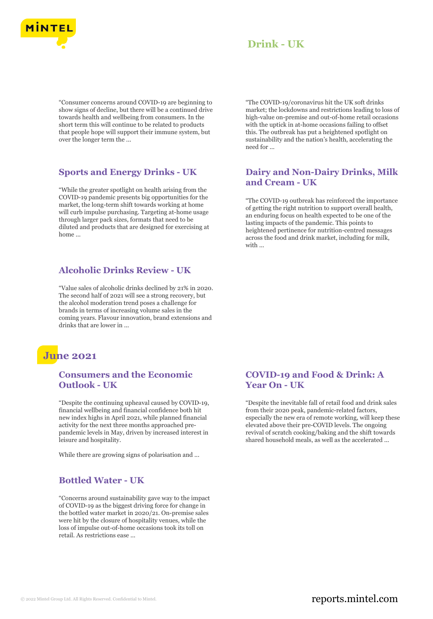

"Consumer concerns around COVID-19 are beginning to show signs of decline, but there will be a continued drive towards health and wellbeing from consumers. In the short term this will continue to be related to products that people hope will support their immune system, but over the longer term the ...

### **Sports and Energy Drinks - UK**

"While the greater spotlight on health arising from the COVID-19 pandemic presents big opportunities for the market, the long-term shift towards working at home will curb impulse purchasing. Targeting at-home usage through larger pack sizes, formats that need to be diluted and products that are designed for exercising at home ...

### **Alcoholic Drinks Review - UK**

"Value sales of alcoholic drinks declined by 21% in 2020. The second half of 2021 will see a strong recovery, but the alcohol moderation trend poses a challenge for brands in terms of increasing volume sales in the coming years. Flavour innovation, brand extensions and drinks that are lower in ...

# **June 2021**

### **Consumers and the Economic Outlook - UK**

"Despite the continuing upheaval caused by COVID-19, financial wellbeing and financial confidence both hit new index highs in April 2021, while planned financial activity for the next three months approached prepandemic levels in May, driven by increased interest in leisure and hospitality.

While there are growing signs of polarisation and ...

### **Bottled Water - UK**

"Concerns around sustainability gave way to the impact of COVID-19 as the biggest driving force for change in the bottled water market in 2020/21. On-premise sales were hit by the closure of hospitality venues, while the loss of impulse out-of-home occasions took its toll on retail. As restrictions ease ...

"The COVID-19/coronavirus hit the UK soft drinks market; the lockdowns and restrictions leading to loss of high-value on-premise and out-of-home retail occasions with the uptick in at-home occasions failing to offset this. The outbreak has put a heightened spotlight on sustainability and the nation's health, accelerating the need for ...

### **Dairy and Non-Dairy Drinks, Milk and Cream - UK**

"The COVID-19 outbreak has reinforced the importance of getting the right nutrition to support overall health, an enduring focus on health expected to be one of the lasting impacts of the pandemic. This points to heightened pertinence for nutrition-centred messages across the food and drink market, including for milk, with ...

#### **COVID-19 and Food & Drink: A Year On - UK**

"Despite the inevitable fall of retail food and drink sales from their 2020 peak, pandemic-related factors, especially the new era of remote working, will keep these elevated above their pre-COVID levels. The ongoing revival of scratch cooking/baking and the shift towards shared household meals, as well as the accelerated ...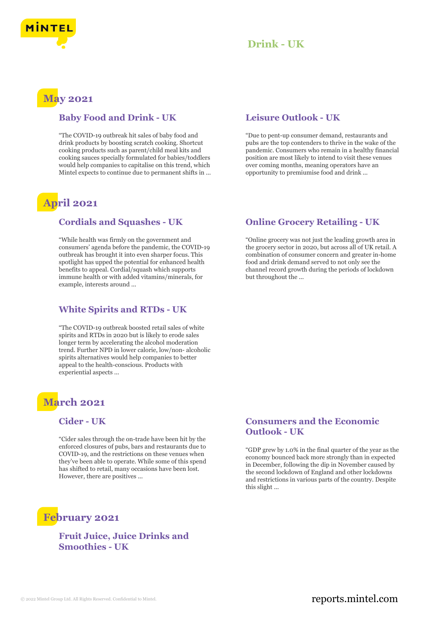



### **May 2021**

### **Baby Food and Drink - UK**

"The COVID-19 outbreak hit sales of baby food and drink products by boosting scratch cooking. Shortcut cooking products such as parent/child meal kits and cooking sauces specially formulated for babies/toddlers would help companies to capitalise on this trend, which Mintel expects to continue due to permanent shifts in ...

# **April 2021**

#### **Cordials and Squashes - UK**

"While health was firmly on the government and consumers' agenda before the pandemic, the COVID-19 outbreak has brought it into even sharper focus. This spotlight has upped the potential for enhanced health benefits to appeal. Cordial/squash which supports immune health or with added vitamins/minerals, for example, interests around ...

### **White Spirits and RTDs - UK**

"The COVID-19 outbreak boosted retail sales of white spirits and RTDs in 2020 but is likely to erode sales longer term by accelerating the alcohol moderation trend. Further NPD in lower calorie, low/non- alcoholic spirits alternatives would help companies to better appeal to the health-conscious. Products with experiential aspects ...

# **March 2021**

### **Cider - UK**

"Cider sales through the on-trade have been hit by the enforced closures of pubs, bars and restaurants due to COVID-19, and the restrictions on these venues when they've been able to operate. While some of this spend has shifted to retail, many occasions have been lost. However, there are positives ...

### **Leisure Outlook - UK**

"Due to pent-up consumer demand, restaurants and pubs are the top contenders to thrive in the wake of the pandemic. Consumers who remain in a healthy financial position are most likely to intend to visit these venues over coming months, meaning operators have an opportunity to premiumise food and drink ...

### **Online Grocery Retailing - UK**

"Online grocery was not just the leading growth area in the grocery sector in 2020, but across all of UK retail. A combination of consumer concern and greater in-home food and drink demand served to not only see the channel record growth during the periods of lockdown but throughout the ...

### **Consumers and the Economic Outlook - UK**

"GDP grew by 1.0% in the final quarter of the year as the economy bounced back more strongly than in expected in December, following the dip in November caused by the second lockdown of England and other lockdowns and restrictions in various parts of the country. Despite this slight ...

# **February 2021**

### **Fruit Juice, Juice Drinks and Smoothies - UK**